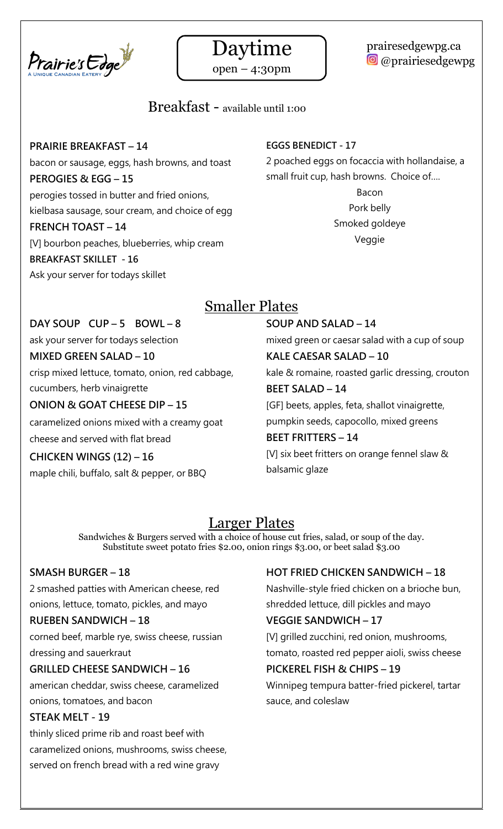



open – 4:30pm

## prairesedgewpg.ca **O** @prairiesedgewpg

# Breakfast - available until 1:00

#### **PRAIRIE BREAKFAST – 14**

bacon or sausage, eggs, hash browns, and toast **PEROGIES & EGG – 15** perogies tossed in butter and fried onions, kielbasa sausage, sour cream, and choice of egg **FRENCH TOAST – 14**

[V] bourbon peaches, blueberries, whip cream **BREAKFAST SKILLET - 16** Ask your server for todays skillet

### **EGGS BENEDICT - 17**

2 poached eggs on focaccia with hollandaise, a small fruit cup, hash browns. Choice of….

> Bacon Pork belly Smoked goldeye Veggie

# Smaller Plates

#### **DAY SOUP CUP – 5 BOWL – 8**

ask your server for todays selection

#### **MIXED GREEN SALAD – 10**

crisp mixed lettuce, tomato, onion, red cabbage, cucumbers, herb vinaigrette

#### **ONION & GOAT CHEESE DIP – 15**

caramelized onions mixed with a creamy goat

cheese and served with flat bread

#### **CHICKEN WINGS (12) – 16**

maple chili, buffalo, salt & pepper, or BBQ

#### **SOUP AND SALAD – 14**

mixed green or caesar salad with a cup of soup

# **KALE CAESAR SALAD – 10**

kale & romaine, roasted garlic dressing, crouton **BEET SALAD – 14**

[GF] beets, apples, feta, shallot vinaigrette, pumpkin seeds, capocollo, mixed greens

#### **BEET FRITTERS – 14**

[V] six beet fritters on orange fennel slaw & balsamic glaze

# Larger Plates

Sandwiches & Burgers served with a choice of house cut fries, salad, or soup of the day. Substitute sweet potato fries \$2.00, onion rings \$3.00, or beet salad \$3.00

#### **SMASH BURGER – 18**

2 smashed patties with American cheese, red onions, lettuce, tomato, pickles, and mayo

#### **RUEBEN SANDWICH – 18**

corned beef, marble rye, swiss cheese, russian dressing and sauerkraut

#### **GRILLED CHEESE SANDWICH – 16**

american cheddar, swiss cheese, caramelized onions, tomatoes, and bacon

#### **STEAK MELT - 19**

thinly sliced prime rib and roast beef with caramelized onions, mushrooms, swiss cheese, served on french bread with a red wine gravy

#### **HOT FRIED CHICKEN SANDWICH – 18**

Nashville-style fried chicken on a brioche bun, shredded lettuce, dill pickles and mayo

#### **VEGGIE SANDWICH – 17**

[V] grilled zucchini, red onion, mushrooms, tomato, roasted red pepper aioli, swiss cheese

#### **PICKEREL FISH & CHIPS – 19**

Winnipeg tempura batter-fried pickerel, tartar sauce, and coleslaw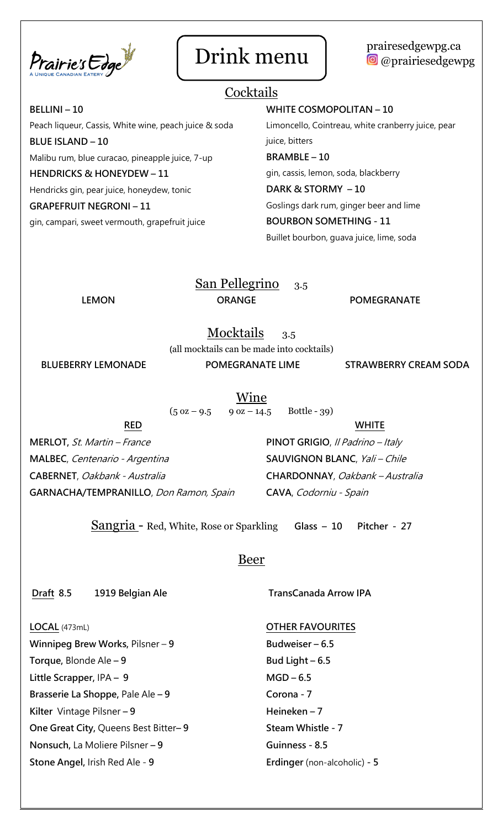

### Drink menu | prairesedgewpg.ca **O** @prairiesedgewpg

# **Cocktails**

**BELLINI – 10** Peach liqueur, Cassis, White wine, peach juice & soda **BLUE ISLAND – 10** Malibu rum, blue curacao, pineapple juice, 7-up **HENDRICKS & HONEYDEW – 11** Hendricks gin, pear juice, honeydew, tonic **GRAPEFRUIT NEGRONI – 11** gin, campari, sweet vermouth, grapefruit juice

#### **WHITE COSMOPOLITAN – 10**

Limoncello, Cointreau, white cranberry juice, pear juice, bitters

#### **BRAMBLE – 10**

gin, cassis, lemon, soda, blackberry

#### **DARK & STORMY – 10**

Goslings dark rum, ginger beer and lime

#### **BOURBON SOMETHING - 11**

Buillet bourbon, guava juice, lime, soda

# San Pellegrino 3.5

LEMON ORANGE POMEGRANATE

Mocktails 3.5

**(**all mocktails can be made into cocktails)

**BLUEBERRY LEMONADE POMEGRANATE LIME STRAWBERRY CREAM SODA**

Wine

 $(5 \text{ oz} - 9.5 \qquad 9 \text{ oz} - 14.5 \qquad \text{Bottle} - 39)$ 

**RED**

**MERLOT,** St. Martin – France **MALBEC**, Centenario - Argentina **CABERNET**, Oakbank - Australia **GARNACHA/TEMPRANILLO**, Don Ramon, Spain

**WHITE PINOT GRIGIO**, Il Padrino – Italy **SAUVIGNON BLANC**, Yali – Chile **CHARDONNAY**, Oakbank – Australia **CAVA**, Codorniu - Spain

Sangria - Red, White, Rose or Sparkling **Glass – 10 Pitcher - 27**

### Beer

**Draft 8.5 1919 Belgian Ale** 

**TransCanada Arrow IPA** 

#### **LOCAL** (473mL)

**Winnipeg Brew Works,** Pilsner – **9 Torque,** Blonde Ale **– 9 Little Scrapper,** IPA **– 9 Brasserie La Shoppe,** Pale Ale **– 9 Kilter** Vintage Pilsner **– 9 One Great City,** Queens Best Bitter**– 9 Nonsuch,** La Moliere Pilsner **– 9 Stone Angel,** Irish Red Ale - **9**

**OTHER FAVOURITES Budweiser – 6.5 Bud Light – 6.5 MGD – 6.5 Corona - 7 Heineken – 7 Steam Whistle - 7 Guinness - 8.5 Erdinger** (non-alcoholic) **- 5**